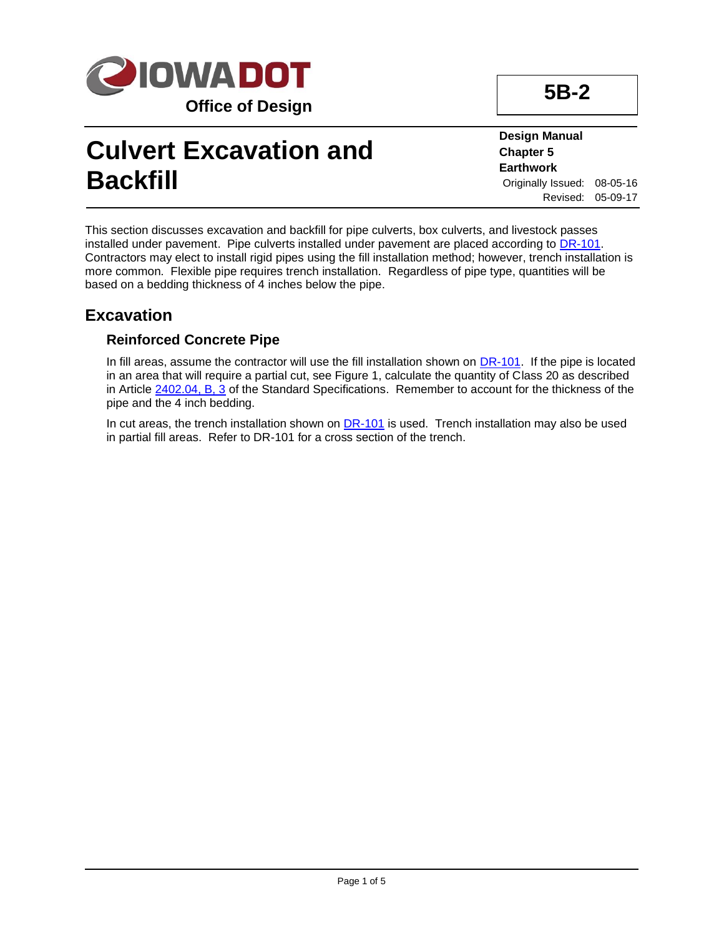

# **Culvert Excavation and Backfill**

**Design Manual**

**5B-2**

**Chapter 5 Earthwork** Originally Issued: 08-05-16 Revised: 05-09-17

This section discusses excavation and backfill for pipe culverts, box culverts, and livestock passes installed under pavement. Pipe culverts installed under pavement are placed according to [DR-101.](../SRP/IndividualStandards/dr101.pdf) Contractors may elect to install rigid pipes using the fill installation method; however, trench installation is more common. Flexible pipe requires trench installation. Regardless of pipe type, quantities will be based on a bedding thickness of 4 inches below the pipe.

### **Excavation**

#### **Reinforced Concrete Pipe**

In fill areas, assume the contractor will use the fill installation shown on [DR-101.](../SRP/IndividualStandards/dr101.pdf) If the pipe is located in an area that will require a partial cut, see Figure 1, calculate the quantity of Class 20 as described in Article [2402.04, B, 3](../../erl/current/GS/content/2402.htm) of the Standard Specifications. Remember to account for the thickness of the pipe and the 4 inch bedding.

In cut areas, the trench installation shown on  $DR-101$  is used. Trench installation may also be used in partial fill areas. Refer to DR-101 for a cross section of the trench.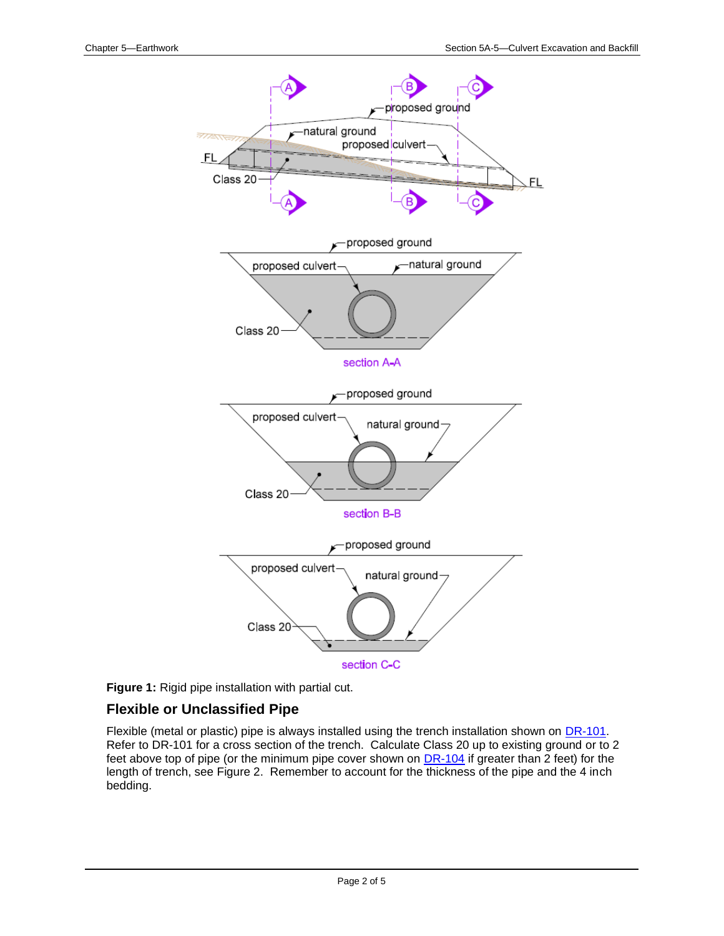

**Figure 1:** Rigid pipe installation with partial cut.

#### **Flexible or Unclassified Pipe**

Flexible (metal or plastic) pipe is always installed using the trench installation shown on [DR-101.](../SRP/IndividualStandards/dr101.pdf) Refer to DR-101 for a cross section of the trench. Calculate Class 20 up to existing ground or to 2 feet above top of pipe (or the minimum pipe cover shown on **DR-104** if greater than 2 feet) for the length of trench, see Figure 2. Remember to account for the thickness of the pipe and the 4 inch bedding.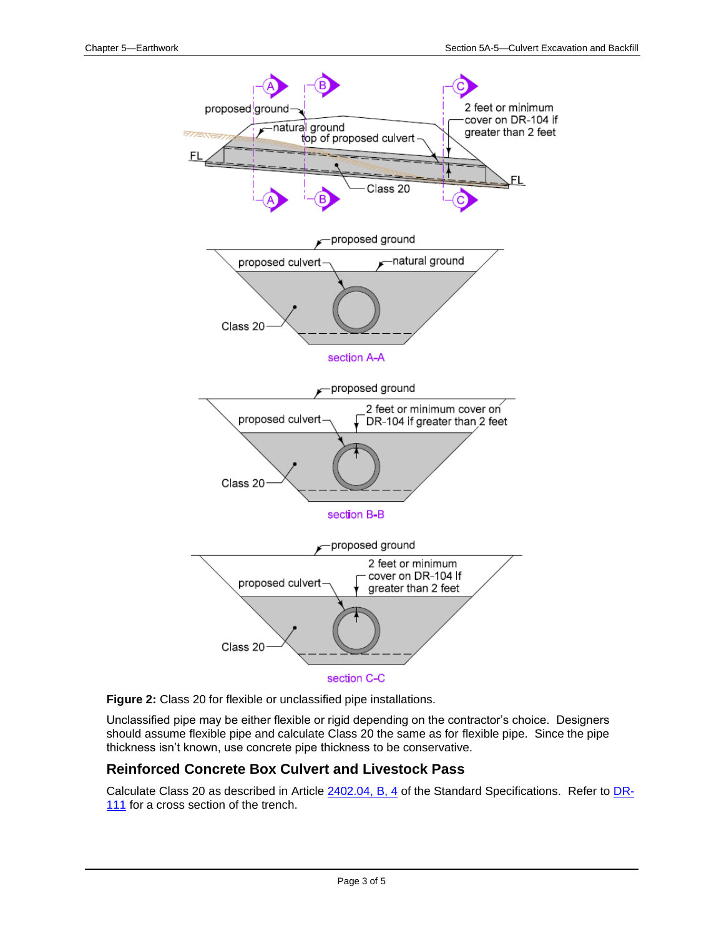



Unclassified pipe may be either flexible or rigid depending on the contractor's choice. Designers should assume flexible pipe and calculate Class 20 the same as for flexible pipe. Since the pipe thickness isn't known, use concrete pipe thickness to be conservative.

#### **Reinforced Concrete Box Culvert and Livestock Pass**

Calculate Class 20 as described in Article [2402.04, B, 4](../../erl/current/GS/content/2402.htm) of the Standard Specifications. Refer t[o DR-](../SRP/IndividualStandards/dr111.pdf)[111](../SRP/IndividualStandards/dr111.pdf) for a cross section of the trench.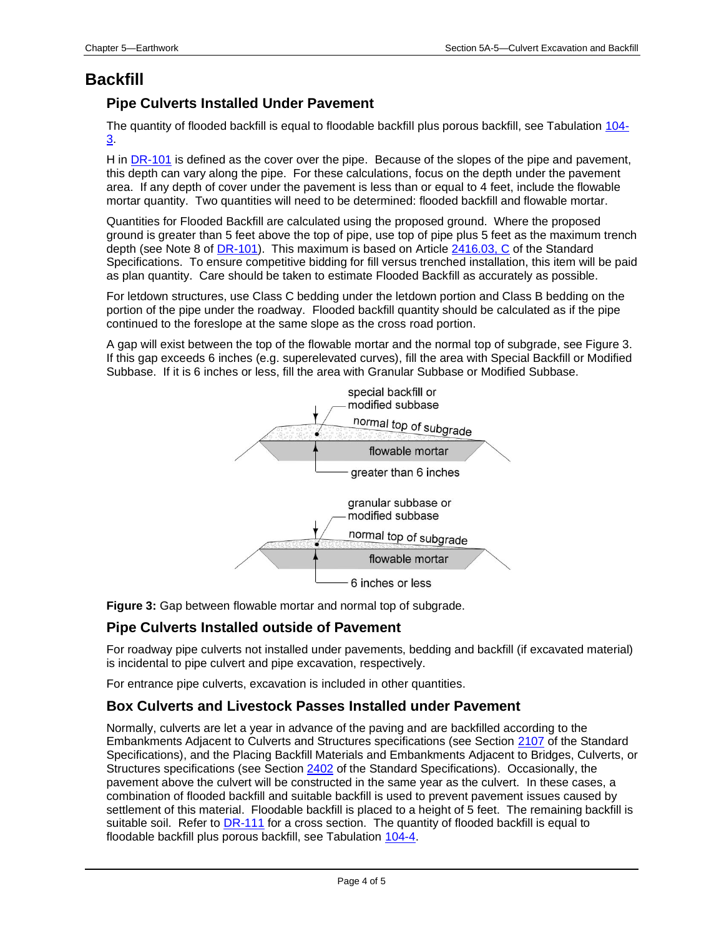## **Backfill**

#### **Pipe Culverts Installed Under Pavement**

The quantity of flooded backfill is equal to floodable backfill plus porous backfill, see Tabulation [104-](../tnt/PDFsandWebFiles/IndividualPDFs/0104-03.PDF) [3.](../tnt/PDFsandWebFiles/IndividualPDFs/0104-03.PDF)

H in [DR-101](../SRP/IndividualStandards/dr101.pdf) is defined as the cover over the pipe. Because of the slopes of the pipe and pavement, this depth can vary along the pipe. For these calculations, focus on the depth under the pavement area. If any depth of cover under the pavement is less than or equal to 4 feet, include the flowable mortar quantity. Two quantities will need to be determined: flooded backfill and flowable mortar.

Quantities for Flooded Backfill are calculated using the proposed ground. Where the proposed ground is greater than 5 feet above the top of pipe, use top of pipe plus 5 feet as the maximum trench depth (see Note 8 of [DR-101\)](../SRP/IndividualStandards/dr101.pdf). This maximum is based on Article [2416.03, C](../../erl/current/GS/content/2416.htm) of the Standard Specifications. To ensure competitive bidding for fill versus trenched installation, this item will be paid as plan quantity. Care should be taken to estimate Flooded Backfill as accurately as possible.

For letdown structures, use Class C bedding under the letdown portion and Class B bedding on the portion of the pipe under the roadway. Flooded backfill quantity should be calculated as if the pipe continued to the foreslope at the same slope as the cross road portion.

A gap will exist between the top of the flowable mortar and the normal top of subgrade, see Figure 3. If this gap exceeds 6 inches (e.g. superelevated curves), fill the area with Special Backfill or Modified Subbase. If it is 6 inches or less, fill the area with Granular Subbase or Modified Subbase.



**Figure 3:** Gap between flowable mortar and normal top of subgrade.

#### **Pipe Culverts Installed outside of Pavement**

For roadway pipe culverts not installed under pavements, bedding and backfill (if excavated material) is incidental to pipe culvert and pipe excavation, respectively.

For entrance pipe culverts, excavation is included in other quantities.

#### **Box Culverts and Livestock Passes Installed under Pavement**

Normally, culverts are let a year in advance of the paving and are backfilled according to the Embankments Adjacent to Culverts and Structures specifications (see Section [2107](../../erl/current/GS/content/2107.htm) of the Standard Specifications), and the Placing Backfill Materials and Embankments Adjacent to Bridges, Culverts, or Structures specifications (see Section [2402](../../erl/current/GS/content/2402.htm) of the Standard Specifications). Occasionally, the pavement above the culvert will be constructed in the same year as the culvert. In these cases, a combination of flooded backfill and suitable backfill is used to prevent pavement issues caused by settlement of this material. Floodable backfill is placed to a height of 5 feet. The remaining backfill is suitable soil. Refer to [DR-111](../SRP/IndividualStandards/dr111.pdf) for a cross section. The quantity of flooded backfill is equal to floodable backfill plus porous backfill, see Tabulation [104-4.](../tnt/PDFsandWebFiles/IndividualPDFs/0104-04.PDF)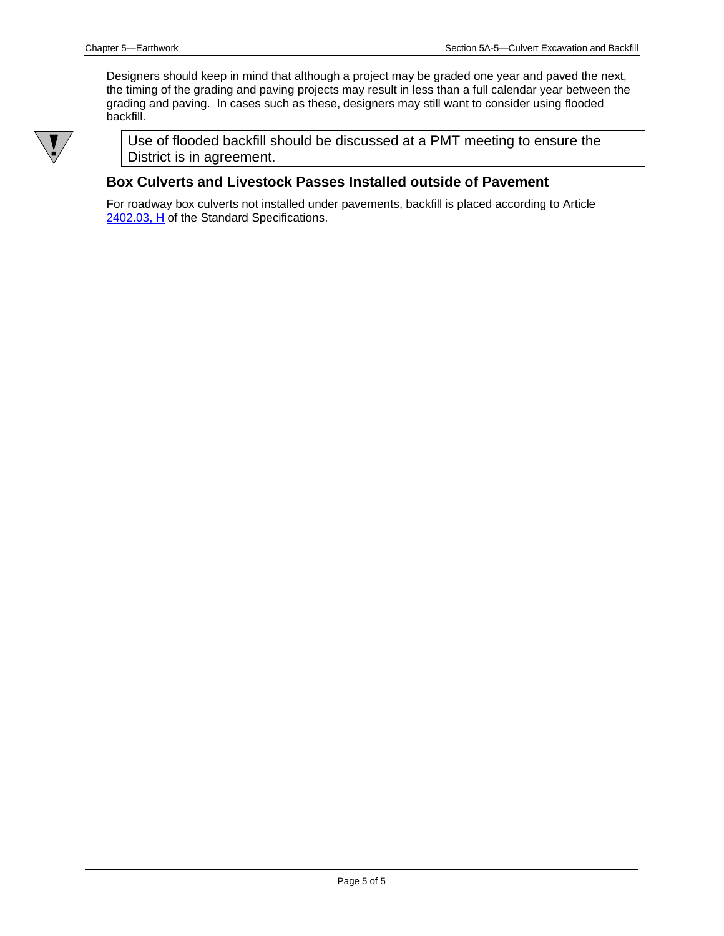Designers should keep in mind that although a project may be graded one year and paved the next, the timing of the grading and paving projects may result in less than a full calendar year between the grading and paving. In cases such as these, designers may still want to consider using flooded backfill.



Use of flooded backfill should be discussed at a PMT meeting to ensure the District is in agreement.

#### **Box Culverts and Livestock Passes Installed outside of Pavement**

For roadway box culverts not installed under pavements, backfill is placed according to Article [2402.03, H](../../erl/current/GS/content/2402.htm) of the Standard Specifications.